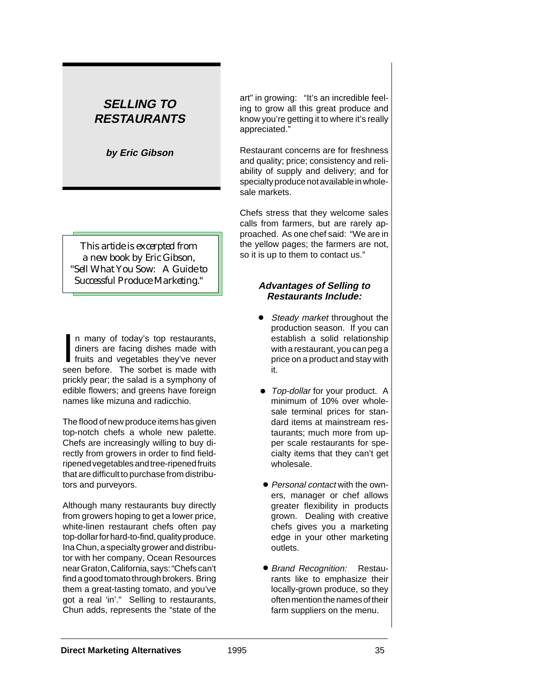# **SELLING TO RESTAURANTS**

**by Eric Gibson**

*This artide is excerpted from a new book by Eric Gibson, "Sell What You Sow: A Guide to Successful Produce Marketing."*

In many of today's top restaurants,<br>diners are facing dishes made with<br>fruits and vegetables they've never<br>seen before. The sorbet is made with n many of today's top restaurants, diners are facing dishes made with fruits and vegetables they've never prickly pear; the salad is a symphony of edible flowers; and greens have foreign names like mizuna and radicchio.

The flood of new produce items has given top-notch chefs a whole new palette. Chefs are increasingly willing to buy directly from growers in order to find fieldripened vegetables and tree-ripened fruits that are difficult to purchase from distributors and purveyors.

Although many restaurants buy directly from growers hoping to get a lower price, white-linen restaurant chefs often pay top-dollar for hard-to-find, quality produce. Ina Chun, a specialty grower and distributor with her company, Ocean Resources near Graton, California, says: "Chefs can't find a good tomato through brokers. Bring them a great-tasting tomato, and you've got a real 'in'." Selling to restaurants, Chun adds, represents the "state of the

art" in growing: "It's an incredible feeling to grow all this great produce and know you're getting it to where it's really appreciated."

Restaurant concerns are for freshness and quality; price; consistency and reliability of supply and delivery; and for specialty produce not available in wholesale markets.

Chefs stress that they welcome sales calls from farmers, but are rarely approached. As one chef said: "We are in the yellow pages; the farmers are not, so it is up to them to contact us."

#### **Advantages of Selling to Restaurants Include:**

- Steady market throughout the production season. If you can establish a solid relationship with a restaurant, you can peg a price on a product and stay with it. •
- Top-dollar for your product. A minimum of 10% over wholesale terminal prices for standard items at mainstream restaurants; much more from upper scale restaurants for specialty items that they can't get wholesale. •
- Personal contact with the owners, manager or chef allows greater flexibility in products grown. Dealing with creative chefs gives you a marketing edge in your other marketing outlets.
- Brand Recognition: Restaurants like to emphasize their locally-grown produce, so they often mention the names of their farm suppliers on the menu.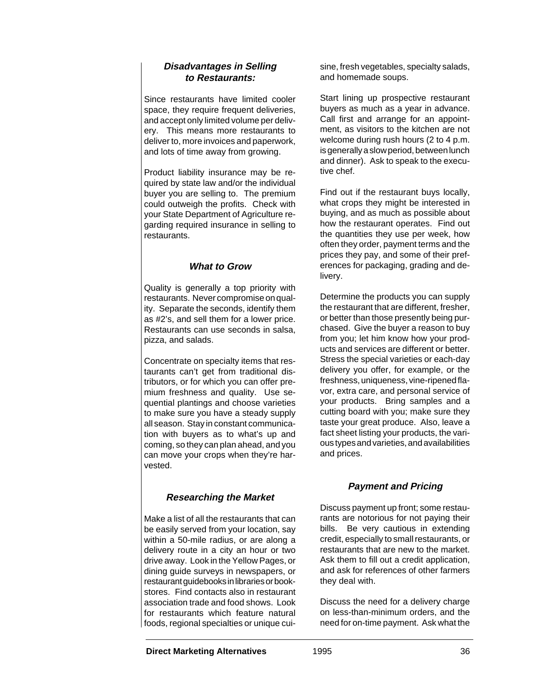#### **Disadvantages in Selling to Restaurants:**

Since restaurants have limited cooler space, they require frequent deliveries, and accept only limited volume per delivery. This means more restaurants to deliver to, more invoices and paperwork, and lots of time away from growing.

Product liability insurance may be required by state law and/or the individual buyer you are selling to. The premium could outweigh the profits. Check with your State Department of Agriculture regarding required insurance in selling to restaurants.

#### **What to Grow**

Quality is generally a top priority with restaurants. Never compromise on quality. Separate the seconds, identify them as #2's, and sell them for a lower price. Restaurants can use seconds in salsa, pizza, and salads.

Concentrate on specialty items that restaurants can't get from traditional distributors, or for which you can offer premium freshness and quality. Use sequential plantings and choose varieties to make sure you have a steady supply all season. Stay in constant communication with buyers as to what's up and coming, so they can plan ahead, and you can move your crops when they're harvested.

# **Researching the Market**

Make a list of all the restaurants that can be easily served from your location, say within a 50-mile radius, or are along a delivery route in a city an hour or two drive away. Look in the Yellow Pages, or dining guide surveys in newspapers, or restaurant guidebooks in libraries or bookstores. Find contacts also in restaurant association trade and food shows. Look for restaurants which feature natural foods, regional specialties or unique cuisine, fresh vegetables, specialty salads, and homemade soups.

Start lining up prospective restaurant buyers as much as a year in advance. Call first and arrange for an appointment, as visitors to the kitchen are not welcome during rush hours (2 to 4 p.m. is generally a slow period, between lunch and dinner). Ask to speak to the executive chef.

Find out if the restaurant buys locally, what crops they might be interested in buying, and as much as possible about how the restaurant operates. Find out the quantities they use per week, how often they order, payment terms and the prices they pay, and some of their preferences for packaging, grading and delivery.

Determine the products you can supply the restaurant that are different, fresher, or better than those presently being purchased. Give the buyer a reason to buy from you; let him know how your products and services are different or better. Stress the special varieties or each-day delivery you offer, for example, or the freshness, uniqueness, vine-ripened flavor, extra care, and personal service of your products. Bring samples and a cutting board with you; make sure they taste your great produce. Also, leave a fact sheet listing your products, the various types and varieties, and availabilities and prices.

# **Payment and Pricing**

Discuss payment up front; some restaurants are notorious for not paying their bills. Be very cautious in extending credit, especially to small restaurants, or restaurants that are new to the market. Ask them to fill out a credit application, and ask for references of other farmers they deal with.

Discuss the need for a delivery charge on less-than-minimum orders, and the need for on-time payment. Ask what the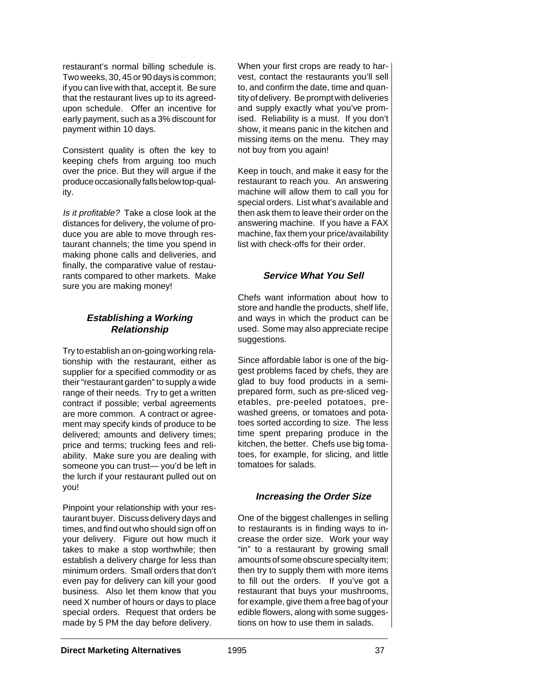restaurant's normal billing schedule is. Two weeks, 30, 45 or 90 days is common; if you can live with that, accept it. Be sure that the restaurant lives up to its agreedupon schedule. Offer an incentive for early payment, such as a 3% discount for payment within 10 days.

Consistent quality is often the key to keeping chefs from arguing too much over the price. But they will argue if the produce occasionally falls below top-quality.

Is it profitable? Take a close look at the distances for delivery, the volume of produce you are able to move through restaurant channels; the time you spend in making phone calls and deliveries, and finally, the comparative value of restaurants compared to other markets. Make sure you are making money!

### **Establishing a Working Relationship**

Try to establish an on-going working relationship with the restaurant, either as supplier for a specified commodity or as their "restaurant garden" to supply a wide range of their needs. Try to get a written contract if possible; verbal agreements are more common. A contract or agreement may specify kinds of produce to be delivered; amounts and delivery times; price and terms; trucking fees and reliability. Make sure you are dealing with someone you can trust— you'd be left in the lurch if your restaurant pulled out on you!

Pinpoint your relationship with your restaurant buyer. Discuss delivery days and times, and find out who should sign off on your delivery. Figure out how much it takes to make a stop worthwhile; then establish a delivery charge for less than minimum orders. Small orders that don't even pay for delivery can kill your good business. Also let them know that you need X number of hours or days to place special orders. Request that orders be made by 5 PM the day before delivery.

When your first crops are ready to harvest, contact the restaurants you'll sell to, and confirm the date, time and quantity of delivery. Be prompt with deliveries and supply exactly what you've promised. Reliability is a must. If you don't show, it means panic in the kitchen and missing items on the menu. They may not buy from you again!

Keep in touch, and make it easy for the restaurant to reach you. An answering machine will allow them to call you for special orders. List what's available and then ask them to leave their order on the answering machine. If you have a FAX machine, fax them your price/availability list with check-offs for their order.

# **Service What You Sell**

Chefs want information about how to store and handle the products, shelf life, and ways in which the product can be used. Some may also appreciate recipe suggestions.

Since affordable labor is one of the biggest problems faced by chefs, they are glad to buy food products in a semiprepared form, such as pre-sliced vegetables, pre-peeled potatoes, prewashed greens, or tomatoes and potatoes sorted according to size. The less time spent preparing produce in the kitchen, the better. Chefs use big tomatoes, for example, for slicing, and little tomatoes for salads.

# **Increasing the Order Size**

One of the biggest challenges in selling to restaurants is in finding ways to increase the order size. Work your way "in" to a restaurant by growing small amounts of some obscure specialty item; then try to supply them with more items to fill out the orders. If you've got a restaurant that buys your mushrooms, for example, give them a free bag of your edible flowers, along with some suggestions on how to use them in salads.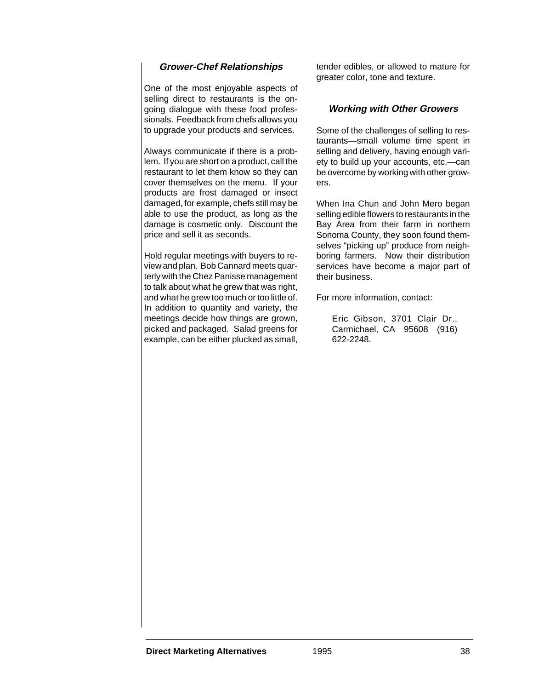### **Grower-Chef Relationships**

One of the most enjoyable aspects of selling direct to restaurants is the ongoing dialogue with these food professionals. Feedback from chefs allows you to upgrade your products and services.

Always communicate if there is a problem. If you are short on a product, call the restaurant to let them know so they can cover themselves on the menu. If your products are frost damaged or insect damaged, for example, chefs still may be able to use the product, as long as the damage is cosmetic only. Discount the price and sell it as seconds.

Hold regular meetings with buyers to review and plan. Bob Cannard meets quarterly with the Chez Panisse management to talk about what he grew that was right, and what he grew too much or too little of. In addition to quantity and variety, the meetings decide how things are grown, picked and packaged. Salad greens for example, can be either plucked as small,

tender edibles, or allowed to mature for greater color, tone and texture.

#### **Working with Other Growers**

Some of the challenges of selling to restaurants—small volume time spent in selling and delivery, having enough variety to build up your accounts, etc.—can be overcome by working with other growers.

When Ina Chun and John Mero began selling edible flowers to restaurants in the Bay Area from their farm in northern Sonoma County, they soon found themselves "picking up" produce from neighboring farmers. Now their distribution services have become a major part of their business.

For more information, contact:

Eric Gibson, 3701 Clair Dr., Carmichael, CA 95608 (916) 622-2248.